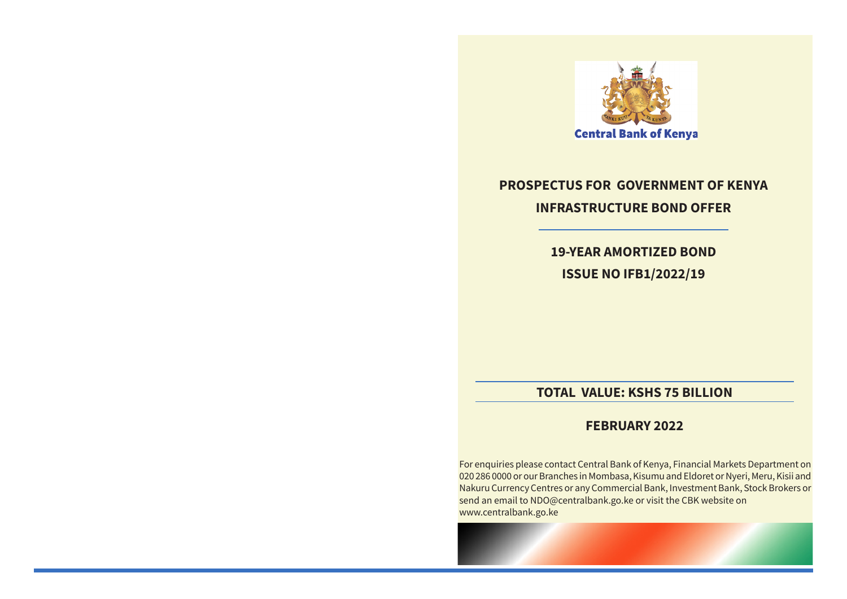

## **PROSPECTUS FOR GOVERNMENT OF KENYA INFRASTRUCTURE BOND OFFER**

**19-YEAR AMORTIZED BOND ISSUE NO IFB1/2022/19** 

## **TOTAL VALUE: KSHS 75 BILLION**

## **FEBRUARY 2022**

For enquiries please contact Central Bank of Kenya, Financial Markets Department on 020 286 0000 or our Branches in Mombasa, Kisumu and Eldoret or Nyeri, Meru, Kisii and Nakuru Currency Centres or any Commercial Bank, Investment Bank, Stock Brokers or send an email to NDO@centralbank.go.ke or visit the CBK website on www.centralbank.go.ke